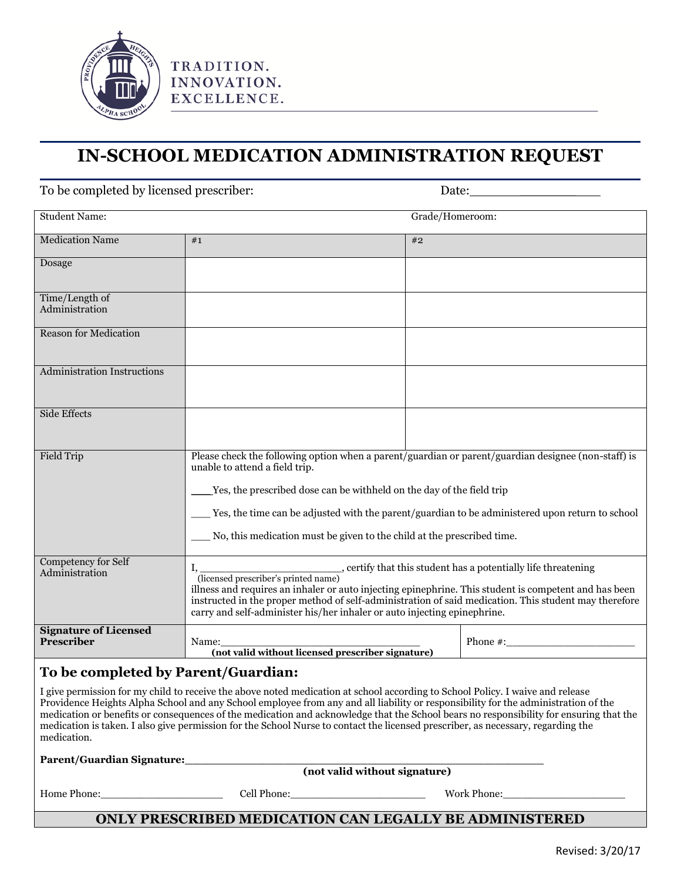

## **IN-SCHOOL MEDICATION ADMINISTRATION REQUEST**

| To be completed by licensed prescriber:                                                                                                                                                                                                                                                                                                                                                                                                                                                                                                                           |                                                                                                                                                                                                                                                                                                                                                                                                   |                 |                                                                                                                                                                                                                                                                                                        |  |  |  |
|-------------------------------------------------------------------------------------------------------------------------------------------------------------------------------------------------------------------------------------------------------------------------------------------------------------------------------------------------------------------------------------------------------------------------------------------------------------------------------------------------------------------------------------------------------------------|---------------------------------------------------------------------------------------------------------------------------------------------------------------------------------------------------------------------------------------------------------------------------------------------------------------------------------------------------------------------------------------------------|-----------------|--------------------------------------------------------------------------------------------------------------------------------------------------------------------------------------------------------------------------------------------------------------------------------------------------------|--|--|--|
| <b>Student Name:</b>                                                                                                                                                                                                                                                                                                                                                                                                                                                                                                                                              |                                                                                                                                                                                                                                                                                                                                                                                                   | Grade/Homeroom: |                                                                                                                                                                                                                                                                                                        |  |  |  |
| <b>Medication Name</b>                                                                                                                                                                                                                                                                                                                                                                                                                                                                                                                                            | #1                                                                                                                                                                                                                                                                                                                                                                                                | #2              |                                                                                                                                                                                                                                                                                                        |  |  |  |
| Dosage                                                                                                                                                                                                                                                                                                                                                                                                                                                                                                                                                            |                                                                                                                                                                                                                                                                                                                                                                                                   |                 |                                                                                                                                                                                                                                                                                                        |  |  |  |
| Time/Length of<br>Administration                                                                                                                                                                                                                                                                                                                                                                                                                                                                                                                                  |                                                                                                                                                                                                                                                                                                                                                                                                   |                 |                                                                                                                                                                                                                                                                                                        |  |  |  |
| <b>Reason for Medication</b>                                                                                                                                                                                                                                                                                                                                                                                                                                                                                                                                      |                                                                                                                                                                                                                                                                                                                                                                                                   |                 |                                                                                                                                                                                                                                                                                                        |  |  |  |
| <b>Administration Instructions</b>                                                                                                                                                                                                                                                                                                                                                                                                                                                                                                                                |                                                                                                                                                                                                                                                                                                                                                                                                   |                 |                                                                                                                                                                                                                                                                                                        |  |  |  |
| <b>Side Effects</b>                                                                                                                                                                                                                                                                                                                                                                                                                                                                                                                                               |                                                                                                                                                                                                                                                                                                                                                                                                   |                 |                                                                                                                                                                                                                                                                                                        |  |  |  |
| <b>Field Trip</b>                                                                                                                                                                                                                                                                                                                                                                                                                                                                                                                                                 | Please check the following option when a parent/guardian or parent/guardian designee (non-staff) is<br>unable to attend a field trip.<br>Yes, the prescribed dose can be withheld on the day of the field trip<br>Yes, the time can be adjusted with the parent/guardian to be administered upon return to school<br>No, this medication must be given to the child at the prescribed time.       |                 |                                                                                                                                                                                                                                                                                                        |  |  |  |
| Competency for Self<br>Administration                                                                                                                                                                                                                                                                                                                                                                                                                                                                                                                             | , certify that this student has a potentially life threatening (licensed prescriber's printed name)<br>illness and requires an inhaler or auto injecting epinephrine. This student is competent and has been<br>instructed in the proper method of self-administration of said medication. This student may therefore<br>carry and self-administer his/her inhaler or auto injecting epinephrine. |                 |                                                                                                                                                                                                                                                                                                        |  |  |  |
| <b>Signature of Licensed</b><br>Prescriber                                                                                                                                                                                                                                                                                                                                                                                                                                                                                                                        | Name:<br>(not valid without licensed prescriber signature)                                                                                                                                                                                                                                                                                                                                        |                 | Phone #: $\frac{1}{2}$ = $\frac{1}{2}$ = $\frac{1}{2}$ = $\frac{1}{2}$ = $\frac{1}{2}$ = $\frac{1}{2}$ = $\frac{1}{2}$ = $\frac{1}{2}$ = $\frac{1}{2}$ = $\frac{1}{2}$ = $\frac{1}{2}$ = $\frac{1}{2}$ = $\frac{1}{2}$ = $\frac{1}{2}$ = $\frac{1}{2}$ = $\frac{1}{2}$ = $\frac{1}{2}$ = $\frac{1}{2}$ |  |  |  |
| To be completed by Parent/Guardian:                                                                                                                                                                                                                                                                                                                                                                                                                                                                                                                               |                                                                                                                                                                                                                                                                                                                                                                                                   |                 |                                                                                                                                                                                                                                                                                                        |  |  |  |
| I give permission for my child to receive the above noted medication at school according to School Policy. I waive and release<br>Providence Heights Alpha School and any School employee from any and all liability or responsibility for the administration of the<br>medication or benefits or consequences of the medication and acknowledge that the School bears no responsibility for ensuring that the<br>medication is taken. I also give permission for the School Nurse to contact the licensed prescriber, as necessary, regarding the<br>medication. |                                                                                                                                                                                                                                                                                                                                                                                                   |                 |                                                                                                                                                                                                                                                                                                        |  |  |  |
| (not valid without signature)                                                                                                                                                                                                                                                                                                                                                                                                                                                                                                                                     |                                                                                                                                                                                                                                                                                                                                                                                                   |                 |                                                                                                                                                                                                                                                                                                        |  |  |  |
| Home Phone:                                                                                                                                                                                                                                                                                                                                                                                                                                                                                                                                                       |                                                                                                                                                                                                                                                                                                                                                                                                   |                 | Work Phone:                                                                                                                                                                                                                                                                                            |  |  |  |

**ONLY PRESCRIBED MEDICATION CAN LEGALLY BE ADMINISTERED**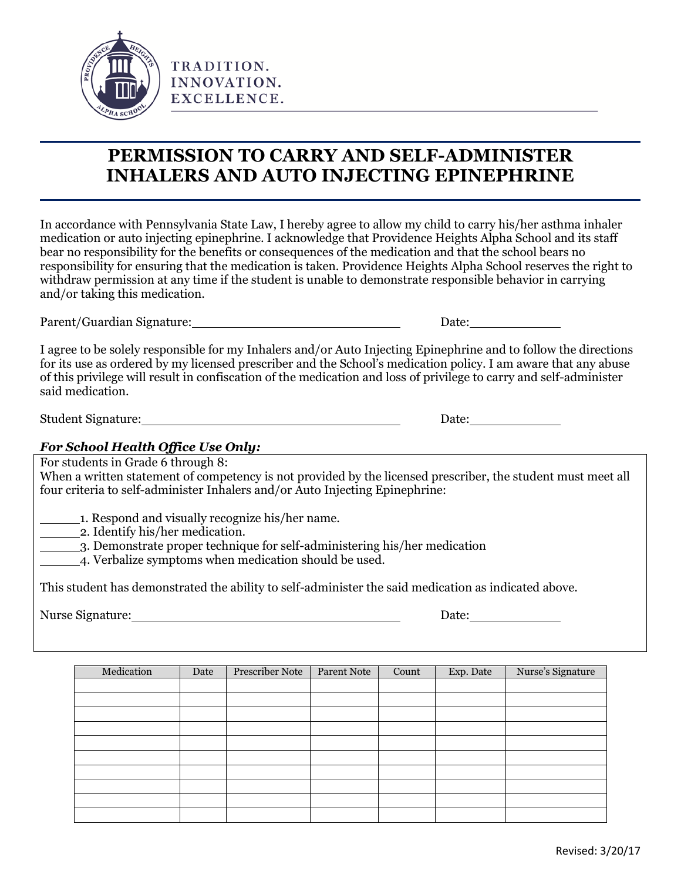

TRADITION. INNOVATION. EXCELLENCE.

## **PERMISSION TO CARRY AND SELF-ADMINISTER INHALERS AND AUTO INJECTING EPINEPHRINE**

In accordance with Pennsylvania State Law, I hereby agree to allow my child to carry his/her asthma inhaler medication or auto injecting epinephrine. I acknowledge that Providence Heights Alpha School and its staff bear no responsibility for the benefits or consequences of the medication and that the school bears no responsibility for ensuring that the medication is taken. Providence Heights Alpha School reserves the right to withdraw permission at any time if the student is unable to demonstrate responsible behavior in carrying and/or taking this medication.

Parent/Guardian Signature: Date:

I agree to be solely responsible for my Inhalers and/or Auto Injecting Epinephrine and to follow the directions for its use as ordered by my licensed prescriber and the School's medication policy. I am aware that any abuse of this privilege will result in confiscation of the medication and loss of privilege to carry and self-administer said medication.

Student Signature: 2000 and 2000 and 2000 and 2000 and 2000 and 2000 and 2000 and 2000 and 2000 and 2000 and 2000 and 2000 and 2000 and 2000 and 2000 and 2000 and 2000 and 2000 and 2000 and 2000 and 2000 and 2000 and 2000

## *For School Health Office Use Only:*

For students in Grade 6 through 8:

When a written statement of competency is not provided by the licensed prescriber, the student must meet all four criteria to self-administer Inhalers and/or Auto Injecting Epinephrine:

1. Respond and visually recognize his/her name.

2. Identify his/her medication.

3. Demonstrate proper technique for self-administering his/her medication

4. Verbalize symptoms when medication should be used.

This student has demonstrated the ability to self-administer the said medication as indicated above.

Nurse Signature: Date:

| Medication | Date | Prescriber Note | Parent Note | Count | Exp. Date | Nurse's Signature |
|------------|------|-----------------|-------------|-------|-----------|-------------------|
|            |      |                 |             |       |           |                   |
|            |      |                 |             |       |           |                   |
|            |      |                 |             |       |           |                   |
|            |      |                 |             |       |           |                   |
|            |      |                 |             |       |           |                   |
|            |      |                 |             |       |           |                   |
|            |      |                 |             |       |           |                   |
|            |      |                 |             |       |           |                   |
|            |      |                 |             |       |           |                   |
|            |      |                 |             |       |           |                   |